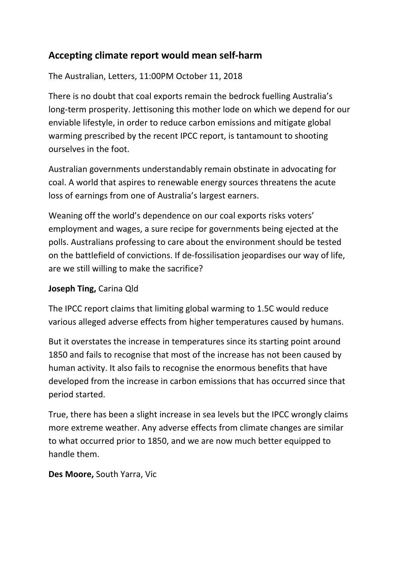## **Accepting climate report would mean self-harm**

The Australian, Letters, 11:00PM October 11, 2018

There is no doubt that coal exports remain the bedrock fuelling Australia's long-term prosperity. Jettisoning this mother lode on which we depend for our enviable lifestyle, in order to reduce carbon emissions and mitigate global warming prescribed by the recent IPCC report, is tantamount to shooting ourselves in the foot.

Australian governments understandably remain obstinate in advocating for coal. A world that aspires to renewable energy sources threatens the acute loss of earnings from one of Australia's largest earners.

Weaning off the world's dependence on our coal exports risks voters' employment and wages, a sure recipe for governments being ejected at the polls. Australians professing to care about the environment should be tested on the battlefield of convictions. If de-fossilisation jeopardises our way of life, are we still willing to make the sacrifice?

## **Joseph Ting,** Carina Qld

The IPCC report claims that limiting global warming to 1.5C would reduce various alleged adverse effects from higher temperatures caused by humans.

But it overstates the increase in temperatures since its starting point around 1850 and fails to recognise that most of the increase has not been caused by human activity. It also fails to recognise the enormous benefits that have developed from the increase in carbon emissions that has occurred since that period started.

True, there has been a slight increase in sea levels but the IPCC wrongly claims more extreme weather. Any adverse effects from climate changes are similar to what occurred prior to 1850, and we are now much better equipped to handle them.

## **Des Moore,** South Yarra, Vic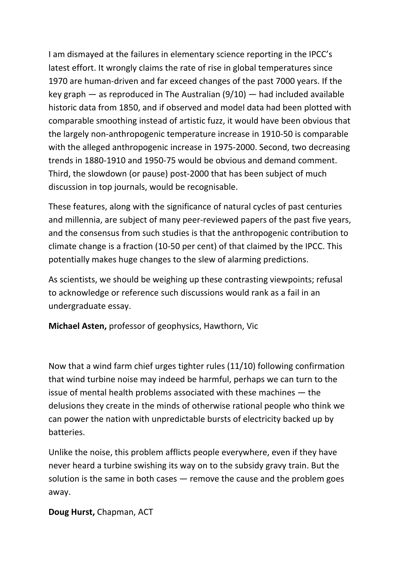I am dismayed at the failures in elementary science reporting in the IPCC's latest effort. It wrongly claims the rate of rise in global temperatures since 1970 are human-driven and far exceed changes of the past 7000 years. If the key graph — as reproduced in The Australian (9/10) — had included available historic data from 1850, and if observed and model data had been plotted with comparable smoothing instead of artistic fuzz, it would have been obvious that the largely non-anthropogenic temperature increase in 1910-50 is comparable with the alleged anthropogenic increase in 1975-2000. Second, two decreasing trends in 1880-1910 and 1950-75 would be obvious and demand comment. Third, the slowdown (or pause) post-2000 that has been subject of much discussion in top journals, would be recognisable.

These features, along with the significance of natural cycles of past centuries and millennia, are subject of many peer-reviewed papers of the past five years, and the consensus from such studies is that the anthropogenic contribution to climate change is a fraction (10-50 per cent) of that claimed by the IPCC. This potentially makes huge changes to the slew of alarming predictions.

As scientists, we should be weighing up these contrasting viewpoints; refusal to acknowledge or reference such discussions would rank as a fail in an undergraduate essay.

**Michael Asten,** professor of geophysics, Hawthorn, Vic

Now that a wind farm chief urges tighter rules (11/10) following confirmation that wind turbine noise may indeed be harmful, perhaps we can turn to the issue of mental health problems associated with these machines — the delusions they create in the minds of otherwise rational people who think we can power the nation with unpredictable bursts of electricity backed up by batteries.

Unlike the noise, this problem afflicts people everywhere, even if they have never heard a turbine swishing its way on to the subsidy gravy train. But the solution is the same in both cases  $-$  remove the cause and the problem goes away.

## **Doug Hurst,** Chapman, ACT